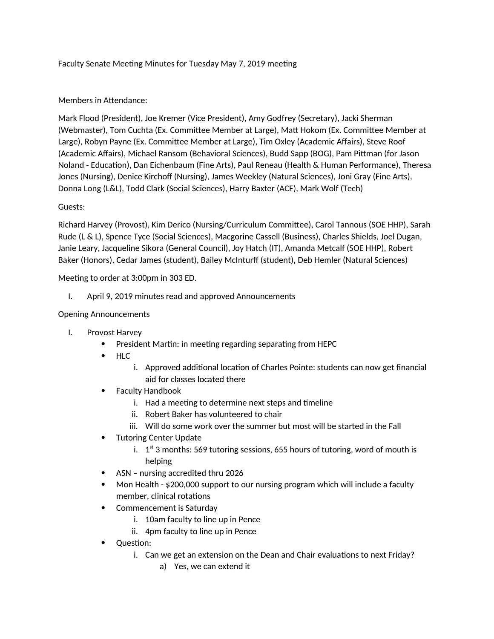# Faculty Senate Meeting Minutes for Tuesday May 7, 2019 meeting

## Members in Attendance:

Mark Flood (President), Joe Kremer (Vice President), Amy Godfrey (Secretary), Jacki Sherman (Webmaster), Tom Cuchta (Ex. Committee Member at Large), Matt Hokom (Ex. Committee Member at Large), Robyn Payne (Ex. Committee Member at Large), Tim Oxley (Academic Affairs), Steve Roof (Academic Affairs), Michael Ransom (Behavioral Sciences), Budd Sapp (BOG), Pam Pittman (for Jason Noland - Education), Dan Eichenbaum (Fine Arts), Paul Reneau (Health & Human Performance), Theresa Jones (Nursing), Denice Kirchoff (Nursing), James Weekley (Natural Sciences), Joni Gray (Fine Arts), Donna Long (L&L), Todd Clark (Social Sciences), Harry Baxter (ACF), Mark Wolf (Tech)

### Guests:

Richard Harvey (Provost), Kim Derico (Nursing/Curriculum Committee), Carol Tannous (SOE HHP), Sarah Rude (L & L), Spence Tyce (Social Sciences), Macgorine Cassell (Business), Charles Shields, Joel Dugan, Janie Leary, Jacqueline Sikora (General Council), Joy Hatch (IT), Amanda Metcalf (SOE HHP), Robert Baker (Honors), Cedar James (student), Bailey McInturff (student), Deb Hemler (Natural Sciences)

Meeting to order at 3:00pm in 303 ED.

I. April 9, 2019 minutes read and approved Announcements

### Opening Announcements

- I. Provost Harvey
	- President Martin: in meeting regarding separating from HEPC
	- HLC
		- i. Approved additional location of Charles Pointe: students can now get financial aid for classes located there
	- Faculty Handbook
		- i. Had a meeting to determine next steps and timeline
		- ii. Robert Baker has volunteered to chair
		- iii. Will do some work over the summer but most will be started in the Fall
	- Tutoring Center Update
		- i.  $1<sup>st</sup>$  3 months: 569 tutoring sessions, 655 hours of tutoring, word of mouth is helping
	- ASN nursing accredited thru 2026
	- Mon Health \$200,000 support to our nursing program which will include a faculty member, clinical rotations
	- Commencement is Saturday
		- i. 10am faculty to line up in Pence
		- ii. 4pm faculty to line up in Pence
	- Ouestion:
		- i. Can we get an extension on the Dean and Chair evaluations to next Friday?
			- a) Yes, we can extend it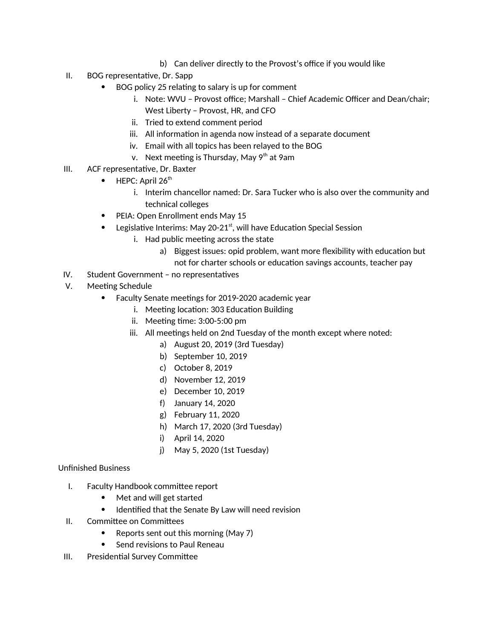- b) Can deliver directly to the Provost's office if you would like
- II. BOG representative, Dr. Sapp
	- BOG policy 25 relating to salary is up for comment
		- i. Note: WVU Provost office; Marshall Chief Academic Officer and Dean/chair; West Liberty – Provost, HR, and CFO
		- ii. Tried to extend comment period
		- iii. All information in agenda now instead of a separate document
		- iv. Email with all topics has been relayed to the BOG
		- v. Next meeting is Thursday, May 9<sup>th</sup> at 9am
- III. ACF representative, Dr. Baxter
	- $\bullet$  HEPC: April 26<sup>th</sup>
		- i. Interim chancellor named: Dr. Sara Tucker who is also over the community and technical colleges
	- PEIA: Open Enrollment ends May 15
	- Legislative Interims: May 20-21<sup>st</sup>, will have Education Special Session
		- i. Had public meeting across the state
			- a) Biggest issues: opid problem, want more flexibility with education but not for charter schools or education savings accounts, teacher pay
- IV. Student Government no representatives
- V. Meeting Schedule
	- Faculty Senate meetings for 2019-2020 academic year
		- i. Meeting location: 303 Education Building
		- ii. Meeting time: 3:00-5:00 pm
		- iii. All meetings held on 2nd Tuesday of the month except where noted:
			- a) August 20, 2019 (3rd Tuesday)
			- b) September 10, 2019
			- c) October 8, 2019
			- d) November 12, 2019
			- e) December 10, 2019
			- f) January 14, 2020
			- g) February 11, 2020
			- h) March 17, 2020 (3rd Tuesday)
			- i) April 14, 2020
			- j) May 5, 2020 (1st Tuesday)

# Unfinished Business

- I. Faculty Handbook committee report
	- Met and will get started
	- Identified that the Senate By Law will need revision
- II. Committee on Committees
	- Reports sent out this morning (May 7)
	- Send revisions to Paul Reneau
- III. Presidential Survey Committee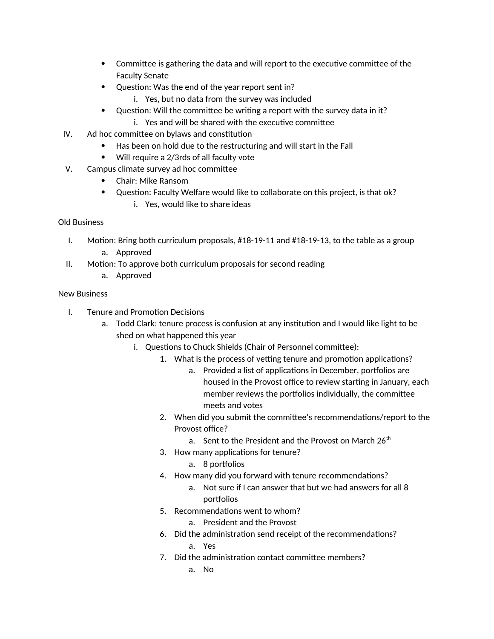- Committee is gathering the data and will report to the executive committee of the Faculty Senate
- Question: Was the end of the year report sent in?
	- i. Yes, but no data from the survey was included
- Question: Will the committee be writing a report with the survey data in it?
	- i. Yes and will be shared with the executive committee
- IV. Ad hoc committee on bylaws and constitution
	- Has been on hold due to the restructuring and will start in the Fall
	- Will require a 2/3rds of all faculty vote
- V. Campus climate survey ad hoc committee
	- Chair: Mike Ransom
	- Question: Faculty Welfare would like to collaborate on this project, is that ok?
		- i. Yes, would like to share ideas

### Old Business

- I. Motion: Bring both curriculum proposals, #18-19-11 and #18-19-13, to the table as a group a. Approved
- II. Motion: To approve both curriculum proposals for second reading
	- a. Approved

### New Business

- I. Tenure and Promotion Decisions
	- a. Todd Clark: tenure process is confusion at any institution and I would like light to be shed on what happened this year
		- i. Questions to Chuck Shields (Chair of Personnel committee):
			- 1. What is the process of vetting tenure and promotion applications?
				- a. Provided a list of applications in December, portfolios are housed in the Provost office to review starting in January, each member reviews the portfolios individually, the committee meets and votes
			- 2. When did you submit the committee's recommendations/report to the Provost office?
				- a. Sent to the President and the Provost on March  $26<sup>th</sup>$
			- 3. How many applications for tenure?
				- a. 8 portfolios
			- 4. How many did you forward with tenure recommendations?
				- a. Not sure if I can answer that but we had answers for all 8 portfolios
			- 5. Recommendations went to whom?
				- a. President and the Provost
			- 6. Did the administration send receipt of the recommendations? a. Yes
			- 7. Did the administration contact committee members?
				- a. No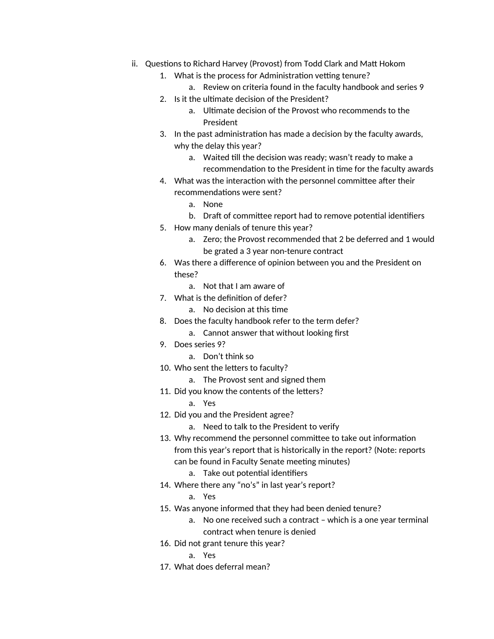- ii. Questions to Richard Harvey (Provost) from Todd Clark and Matt Hokom
	- 1. What is the process for Administration vetting tenure?
		- a. Review on criteria found in the faculty handbook and series 9
	- 2. Is it the ultimate decision of the President?
		- a. Ultimate decision of the Provost who recommends to the President
	- 3. In the past administration has made a decision by the faculty awards, why the delay this year?
		- a. Waited till the decision was ready; wasn't ready to make a recommendation to the President in time for the faculty awards
	- 4. What was the interaction with the personnel committee after their recommendations were sent?
		- a. None
		- b. Draft of committee report had to remove potential identifiers
	- 5. How many denials of tenure this year?
		- a. Zero; the Provost recommended that 2 be deferred and 1 would be grated a 3 year non-tenure contract
	- 6. Was there a difference of opinion between you and the President on these?
		- a. Not that I am aware of
	- 7. What is the definition of defer?
		- a. No decision at this time
	- 8. Does the faculty handbook refer to the term defer?
		- a. Cannot answer that without looking first
	- 9. Does series 9?
		- a. Don't think so
	- 10. Who sent the letters to faculty?
		- a. The Provost sent and signed them
	- 11. Did you know the contents of the letters?
		- a. Yes
	- 12. Did you and the President agree?
		- a. Need to talk to the President to verify
	- 13. Why recommend the personnel committee to take out information from this year's report that is historically in the report? (Note: reports can be found in Faculty Senate meeting minutes)
		- a. Take out potential identifiers
	- 14. Where there any "no's" in last year's report?
		- a. Yes
	- 15. Was anyone informed that they had been denied tenure?
		- a. No one received such a contract which is a one year terminal contract when tenure is denied
	- 16. Did not grant tenure this year?
		- a. Yes
	- 17. What does deferral mean?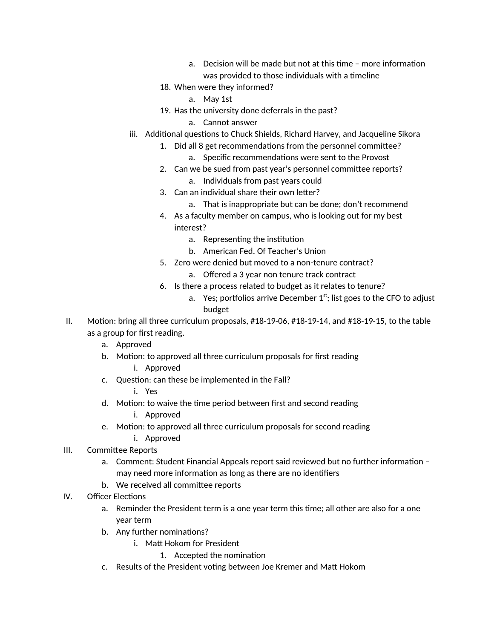- a. Decision will be made but not at this time more information was provided to those individuals with a timeline
- 18. When were they informed?
	- a. May 1st
- 19. Has the university done deferrals in the past?
	- a. Cannot answer
- iii. Additional questions to Chuck Shields, Richard Harvey, and Jacqueline Sikora
	- 1. Did all 8 get recommendations from the personnel committee? a. Specific recommendations were sent to the Provost
	- 2. Can we be sued from past year's personnel committee reports?
		- a. Individuals from past years could
	- 3. Can an individual share their own letter?
		- a. That is inappropriate but can be done; don't recommend
	- 4. As a faculty member on campus, who is looking out for my best interest?
		- a. Representing the institution
		- b. American Fed. Of Teacher's Union
	- 5. Zero were denied but moved to a non-tenure contract?
		- a. Offered a 3 year non tenure track contract
	- 6. Is there a process related to budget as it relates to tenure?
		- a. Yes; portfolios arrive December  $1<sup>st</sup>$ ; list goes to the CFO to adjust budget
- II. Motion: bring all three curriculum proposals, #18-19-06, #18-19-14, and #18-19-15, to the table as a group for first reading.
	- a. Approved
	- b. Motion: to approved all three curriculum proposals for first reading
		- i. Approved
	- c. Question: can these be implemented in the Fall?
		- i. Yes
	- d. Motion: to waive the time period between first and second reading
		- i. Approved
	- e. Motion: to approved all three curriculum proposals for second reading i. Approved
- III. Committee Reports
	- a. Comment: Student Financial Appeals report said reviewed but no further information may need more information as long as there are no identifiers
	- b. We received all committee reports
- IV. Officer Elections
	- a. Reminder the President term is a one year term this time; all other are also for a one year term
	- b. Any further nominations?
		- i. Matt Hokom for President
			- 1. Accepted the nomination
	- c. Results of the President voting between Joe Kremer and Matt Hokom